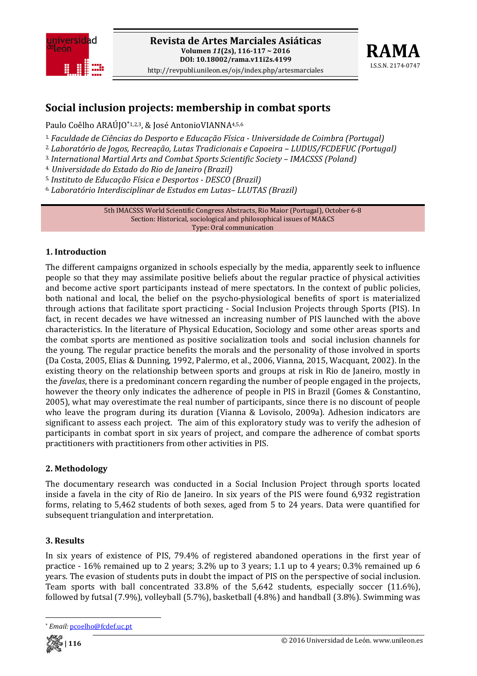



# **Social inclusion projects: membership in combat sports**

Paulo Coêlho ARAÚJO<sup>\*1,2,3</sup>, & José AntonioVIANNA<sup>4,5,6</sup>

1. *Faculdade de Ciências do Desporto e Educação Física Universidade de Coimbra (Portugal)*

2. *Laboratório de Jogos, Recreação, Lutas Tradicionais e Capoeira – LUDUS/FCDEFUC (Portugal)*

3.*International Martial Arts and Combat Sports Scientific Society – IMACSSS (Poland)*

4. *Universidade do Estado do Rio de Janeiro (Brazil)*

5.*Instituto de Educação Física e Desportos DESCO (Brazil)*

6. *Laboratório Interdisciplinar de Estudos em Lutas– LLUTAS (Brazil)*

5th IMACSSS World Scientific Congress Abstracts, Rio Maior (Portugal), October 6‐8 Section: Historical, sociological and philosophical issues of MA&CS Type: Oral communication

### **1. Introduction**

The different campaigns organized in schools especially by the media, apparently seek to influence people so that they may assimilate positive beliefs about the regular practice of physical activities and become active sport participants instead of mere spectators. In the context of public policies, both national and local, the belief on the psycho-physiological benefits of sport is materialized through actions that facilitate sport practicing ‐ Social Inclusion Projects through Sports (PIS). In fact, in recent decades we have witnessed an increasing number of PIS launched with the above characteristics. In the literature of Physical Education, Sociology and some other areas sports and the combat sports are mentioned as positive socialization tools and social inclusion channels for the young. The regular practice benefits the morals and the personality of those involved in sports (Da Costa, 2005, Elias & Dunning, 1992, Palermo, et al., 2006, Vianna, 2015, Wacquant, 2002). In the existing theory on the relationship between sports and groups at risk in Rio de Janeiro, mostly in the *favelas*, there is a predominant concern regarding the number of people engaged in the projects, however the theory only indicates the adherence of people in PIS in Brazil (Gomes & Constantino, 2005), what may overestimate the real number of participants, since there is no discount of people who leave the program during its duration (Vianna & Lovisolo, 2009a). Adhesion indicators are significant to assess each project. The aim of this exploratory study was to verify the adhesion of participants in combat sport in six years of project, and compare the adherence of combat sports practitioners with practitioners from other activities in PIS.

### **2. Methodology**

The documentary research was conducted in a Social Inclusion Project through sports located inside a favela in the city of Rio de Janeiro. In six years of the PIS were found 6,932 registration forms, relating to 5,462 students of both sexes, aged from 5 to 24 years. Data were quantified for subsequent triangulation and interpretation.

### **3. Results**

In six years of existence of PIS, 79.4% of registered abandoned operations in the first year of practice ‐ 16% remained up to 2 years; 3.2% up to 3 years; 1.1 up to 4 years; 0.3% remained up 6 years. The evasion of students puts in doubt the impact of PIS on the perspective of social inclusion. Team sports with ball concentrated 33.8% of the 5,642 students, especially soccer (11.6%), followed by futsal (7.9%), volleyball (5.7%), basketball (4.8%) and handball (3.8%). Swimming was

Email: pcoelho@fcdef.uc.pt